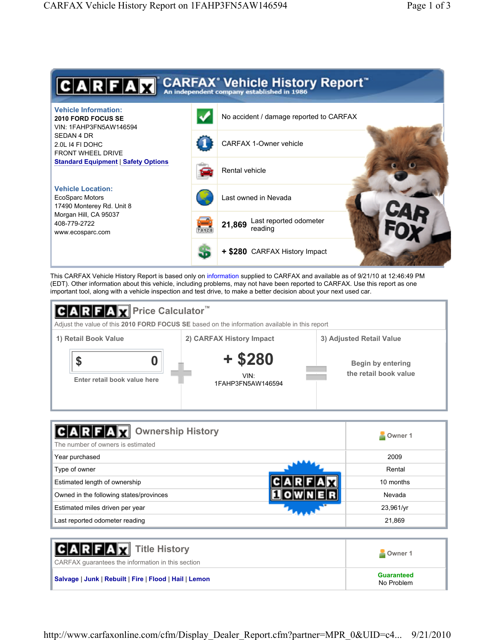

This CARFAX Vehicle History Report is based only on information supplied to CARFAX and available as of 9/21/10 at 12:46:49 PM (EDT). Other information about this vehicle, including problems, may not have been reported to CARFAX. Use this report as one important tool, along with a vehicle inspection and test drive, to make a better decision about your next used car.



| <b>Ownership History</b><br>The number of owners is estimated | Owner 1           |
|---------------------------------------------------------------|-------------------|
| Year purchased                                                | 2009              |
| Type of owner                                                 | Rental            |
| Estimated length of ownership                                 | 10 months         |
| Owned in the following states/provinces                       | Nevada            |
| Estimated miles driven per year                               | $23,961/\gamma r$ |
| Last reported odometer reading                                | 21,869            |

| <b>CARFAX</b> Title History<br>CARFAX quarantees the information in this section | Owner 1                         |
|----------------------------------------------------------------------------------|---------------------------------|
| Salvage   Junk   Rebuilt   Fire   Flood   Hail   Lemon                           | <b>Guaranteed</b><br>No Problem |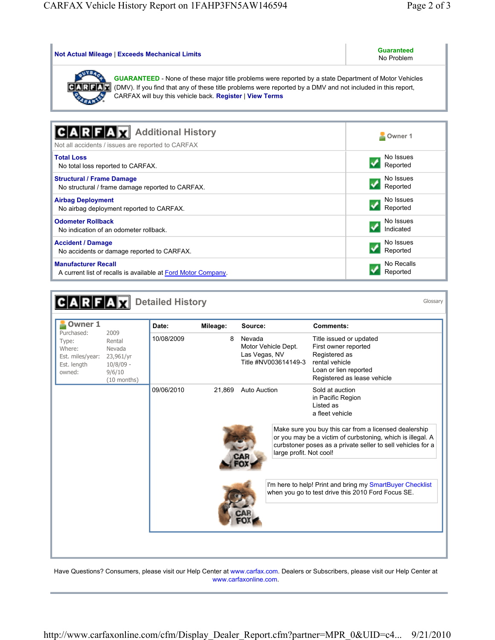| <b>Not Actual Mileage   Exceeds Mechanical Limits</b>                                                                                                                                                                                                                                           | <b>Guaranteed</b><br>No Problem |  |  |  |
|-------------------------------------------------------------------------------------------------------------------------------------------------------------------------------------------------------------------------------------------------------------------------------------------------|---------------------------------|--|--|--|
| <b>GUARANTEED</b> - None of these major title problems were reported by a state Department of Motor Vehicles<br>(DMV). If you find that any of these title problems were reported by a DMV and not included in this report,<br>CARF<br>CARFAX will buy this vehicle back. Register   View Terms |                                 |  |  |  |
| <b>Additional History</b><br>Not all accidents / issues are reported to CARFAX                                                                                                                                                                                                                  | Owner 1                         |  |  |  |
| <b>Total Loss</b>                                                                                                                                                                                                                                                                               | No Issues                       |  |  |  |
| No total loss reported to CARFAX.                                                                                                                                                                                                                                                               | Reported                        |  |  |  |
| <b>Structural / Frame Damage</b>                                                                                                                                                                                                                                                                | No Issues                       |  |  |  |
| No structural / frame damage reported to CARFAX.                                                                                                                                                                                                                                                | Reported                        |  |  |  |
| <b>Airbag Deployment</b>                                                                                                                                                                                                                                                                        | No Issues                       |  |  |  |
| No airbag deployment reported to CARFAX.                                                                                                                                                                                                                                                        | Reported                        |  |  |  |
| <b>Odometer Rollback</b>                                                                                                                                                                                                                                                                        | No Issues                       |  |  |  |
| No indication of an odometer rollback.                                                                                                                                                                                                                                                          | Indicated                       |  |  |  |
| <b>Accident / Damage</b>                                                                                                                                                                                                                                                                        | No Issues                       |  |  |  |
| No accidents or damage reported to CARFAX.                                                                                                                                                                                                                                                      | Reported                        |  |  |  |
| <b>Manufacturer Recall</b>                                                                                                                                                                                                                                                                      | No Recalls                      |  |  |  |
| A current list of recalls is available at Ford Motor Company.                                                                                                                                                                                                                                   | Reported                        |  |  |  |

| <b>Owner 1</b>                                                                       |                                                                    | Date:      | Mileage: | Source:<br>Nevada<br>8<br>Motor Vehicle Dept.<br>Las Vegas, NV<br>Title #NV003614149-3 |  | <b>Comments:</b>                                                                                                                                                                   |  |
|--------------------------------------------------------------------------------------|--------------------------------------------------------------------|------------|----------|----------------------------------------------------------------------------------------|--|------------------------------------------------------------------------------------------------------------------------------------------------------------------------------------|--|
| Purchased:<br>Type:<br>Where:<br>Est. miles/year: 23,961/yr<br>Est. length<br>owned: | 2009<br>Rental<br>Nevada<br>$10/8/09$ -<br>9/6/10<br>$(10$ months) | 10/08/2009 |          |                                                                                        |  | Title issued or updated<br>First owner reported<br>Registered as<br>rental vehicle<br>Loan or lien reported<br>Registered as lease vehicle                                         |  |
|                                                                                      |                                                                    | 09/06/2010 | 21.869   | <b>Auto Auction</b>                                                                    |  | Sold at auction<br>in Pacific Region<br>Listed as<br>a fleet vehicle                                                                                                               |  |
|                                                                                      |                                                                    |            |          | large profit. Not cool!                                                                |  | Make sure you buy this car from a licensed dealership<br>or you may be a victim of curbstoning, which is illegal. A<br>curbstoner poses as a private seller to sell vehicles for a |  |
|                                                                                      |                                                                    |            |          |                                                                                        |  | I'm here to help! Print and bring my SmartBuyer Checklist<br>when you go to test drive this 2010 Ford Focus SE.                                                                    |  |

Have Questions? Consumers, please visit our Help Center at www.carfax.com. Dealers or Subscribers, please visit our Help Center at www.carfaxonline.com.